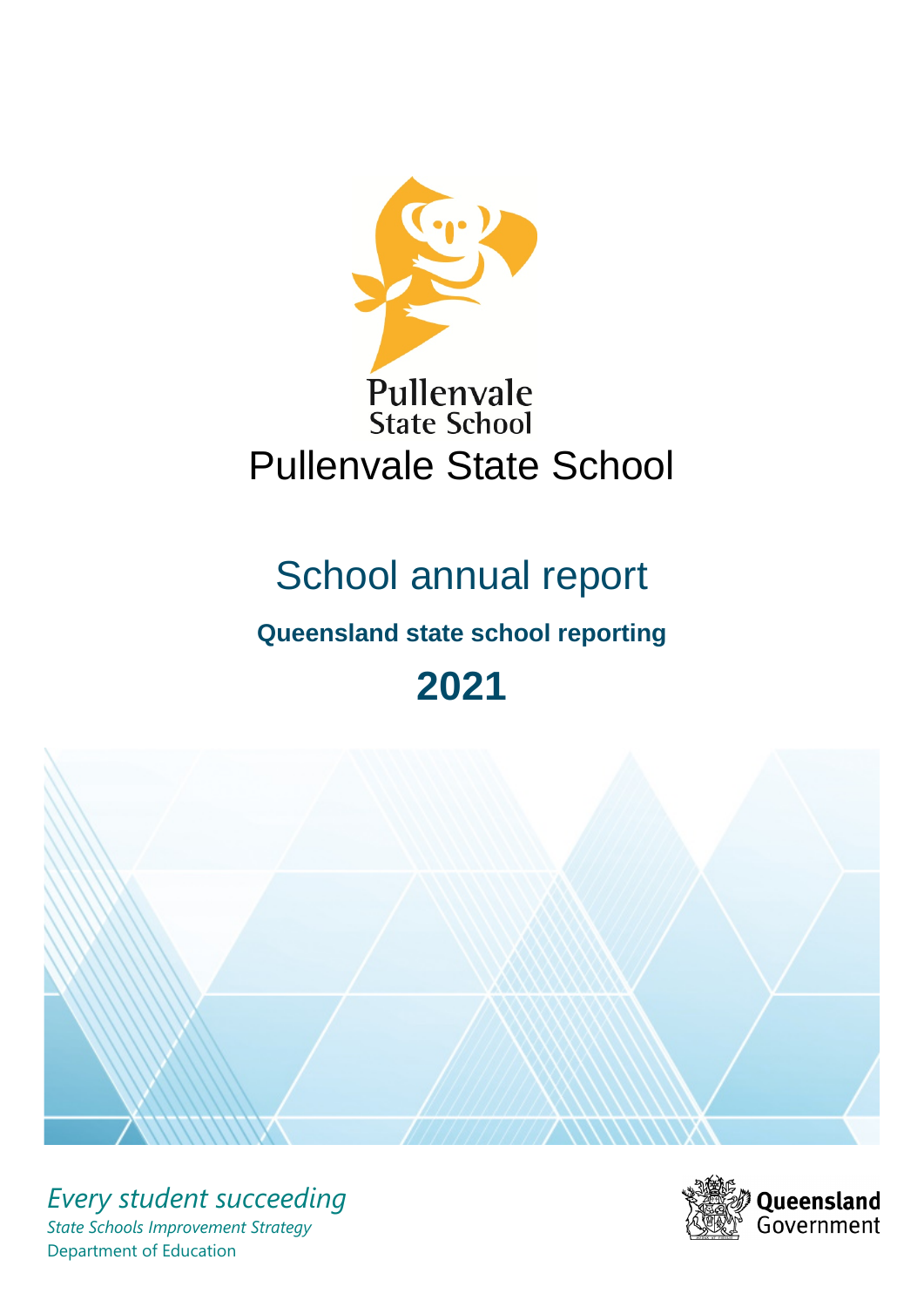

# School annual report

# **Queensland state school reporting**

# **2021**



*Every student succeeding State Schools Improvement Strategy* Department of Education

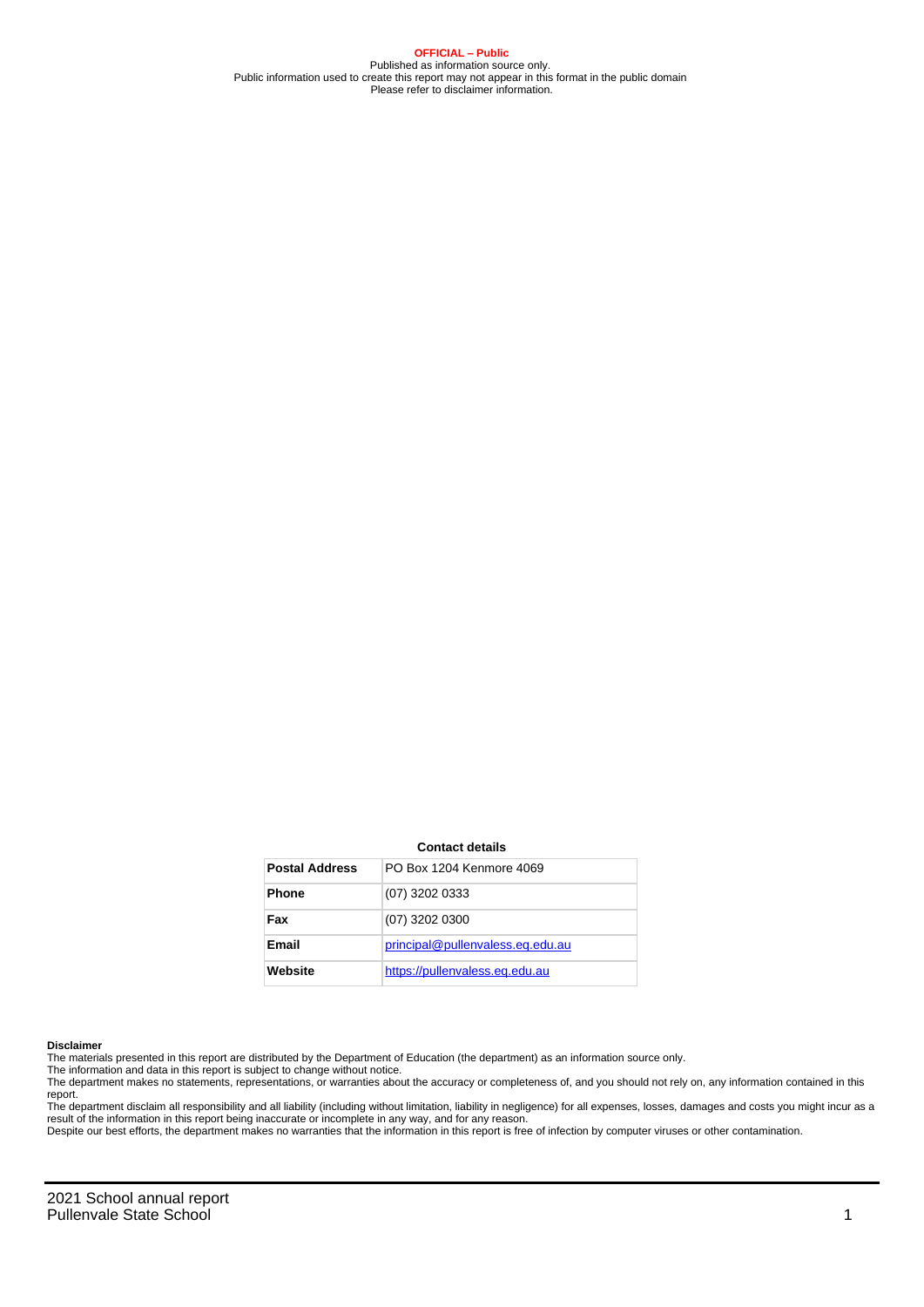**OFFICIAL – Public** Published as information source only. Public information used to create this report may not appear in this format in the public domain Please refer to disclaimer information.

#### **Contact details**

| <b>Postal Address</b> | PO Box 1204 Kenmore 4069         |
|-----------------------|----------------------------------|
| <b>Phone</b>          | (07) 3202 0333                   |
| Fax                   | $(07)$ 3202 0300                 |
| Email                 | principal@pullenvaless.eq.edu.au |
| Website               | https://pullenvaless.eq.edu.au   |

#### **Disclaimer**

The materials presented in this report are distributed by the Department of Education (the department) as an information source only.

The information and data in this report is subject to change without notice.<br>The department makes no statements, representations, or warranties about the accuracy or completeness of, and you should not rely on, any informa report.

The department disclaim all responsibility and all liability (including without limitation, liability in negligence) for all expenses, losses, damages and costs you might incur as a result of the information in this report being inaccurate or incomplete in any way, and for any reason.

Despite our best efforts, the department makes no warranties that the information in this report is free of infection by computer viruses or other contamination.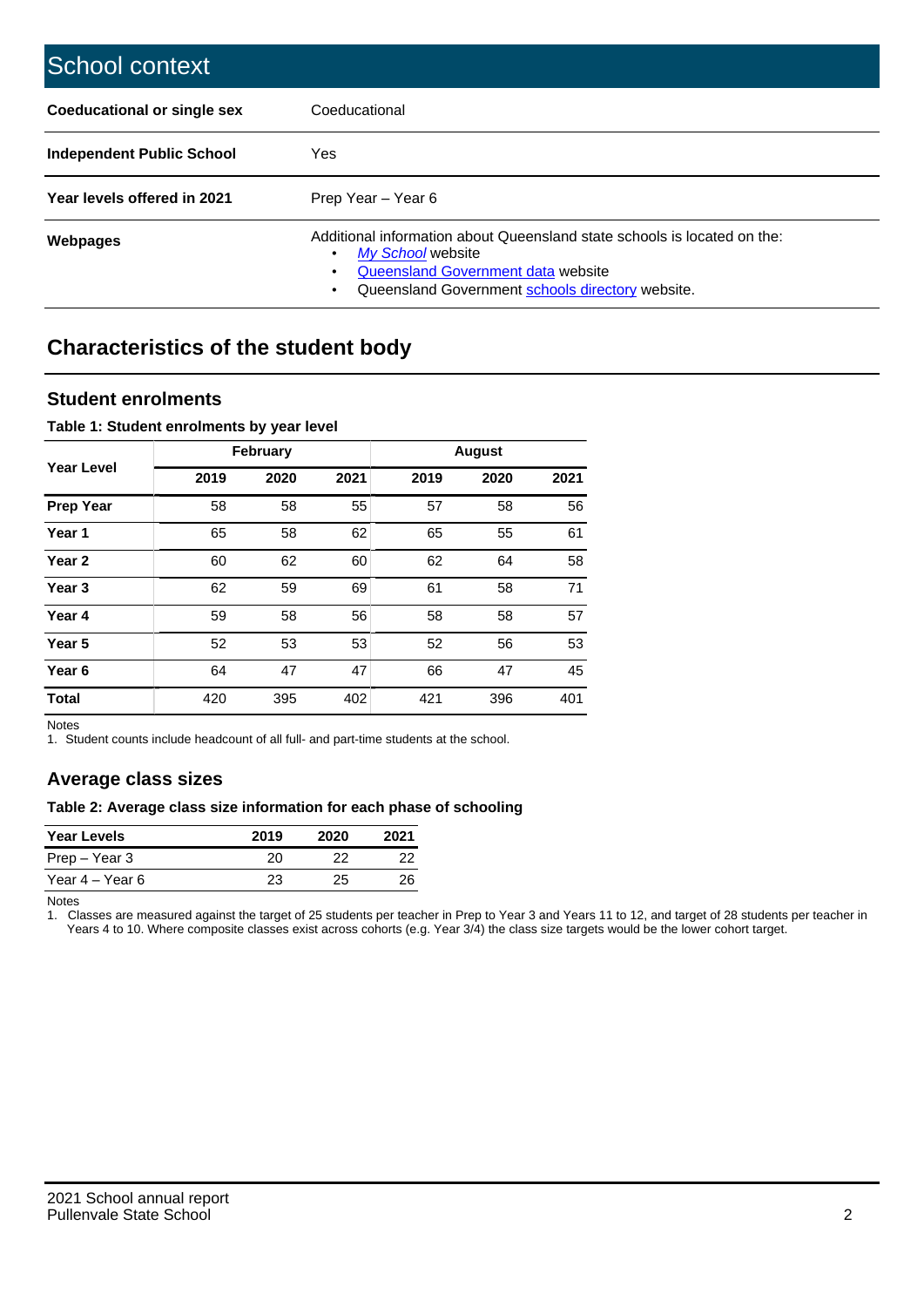| School context                   |                                                                                                                                                                                              |
|----------------------------------|----------------------------------------------------------------------------------------------------------------------------------------------------------------------------------------------|
| Coeducational or single sex      | Coeducational                                                                                                                                                                                |
| <b>Independent Public School</b> | Yes                                                                                                                                                                                          |
| Year levels offered in 2021      | Prep Year - Year 6                                                                                                                                                                           |
| Webpages                         | Additional information about Queensland state schools is located on the:<br>My School website<br>Queensland Government data website<br>Queensland Government schools directory website.<br>٠ |

# **Characteristics of the student body**

### **Student enrolments**

#### **Table 1: Student enrolments by year level**

|                   |      | <b>February</b> |      |      | <b>August</b> |      |
|-------------------|------|-----------------|------|------|---------------|------|
| <b>Year Level</b> | 2019 | 2020            | 2021 | 2019 | 2020          | 2021 |
| <b>Prep Year</b>  | 58   | 58              | 55   | 57   | 58            | 56   |
| Year 1            | 65   | 58              | 62   | 65   | 55            | 61   |
| Year 2            | 60   | 62              | 60   | 62   | 64            | 58   |
| Year <sub>3</sub> | 62   | 59              | 69   | 61   | 58            | 71   |
| Year 4            | 59   | 58              | 56   | 58   | 58            | 57   |
| Year <sub>5</sub> | 52   | 53              | 53   | 52   | 56            | 53   |
| Year <sub>6</sub> | 64   | 47              | 47   | 66   | 47            | 45   |
| <b>Total</b>      | 420  | 395             | 402  | 421  | 396           | 401  |

Notes

1. Student counts include headcount of all full- and part-time students at the school.

## **Average class sizes**

#### **Table 2: Average class size information for each phase of schooling**

| <b>Year Levels</b> | 2019 | 2020 | 2021 |
|--------------------|------|------|------|
| Prep – Year 3      | 20   | フフ   | 22   |
| Year 4 – Year 6    | 23   | 25   | 26   |

Notes

1. Classes are measured against the target of 25 students per teacher in Prep to Year 3 and Years 11 to 12, and target of 28 students per teacher in Years 4 to 10. Where composite classes exist across cohorts (e.g. Year 3/4) the class size targets would be the lower cohort target.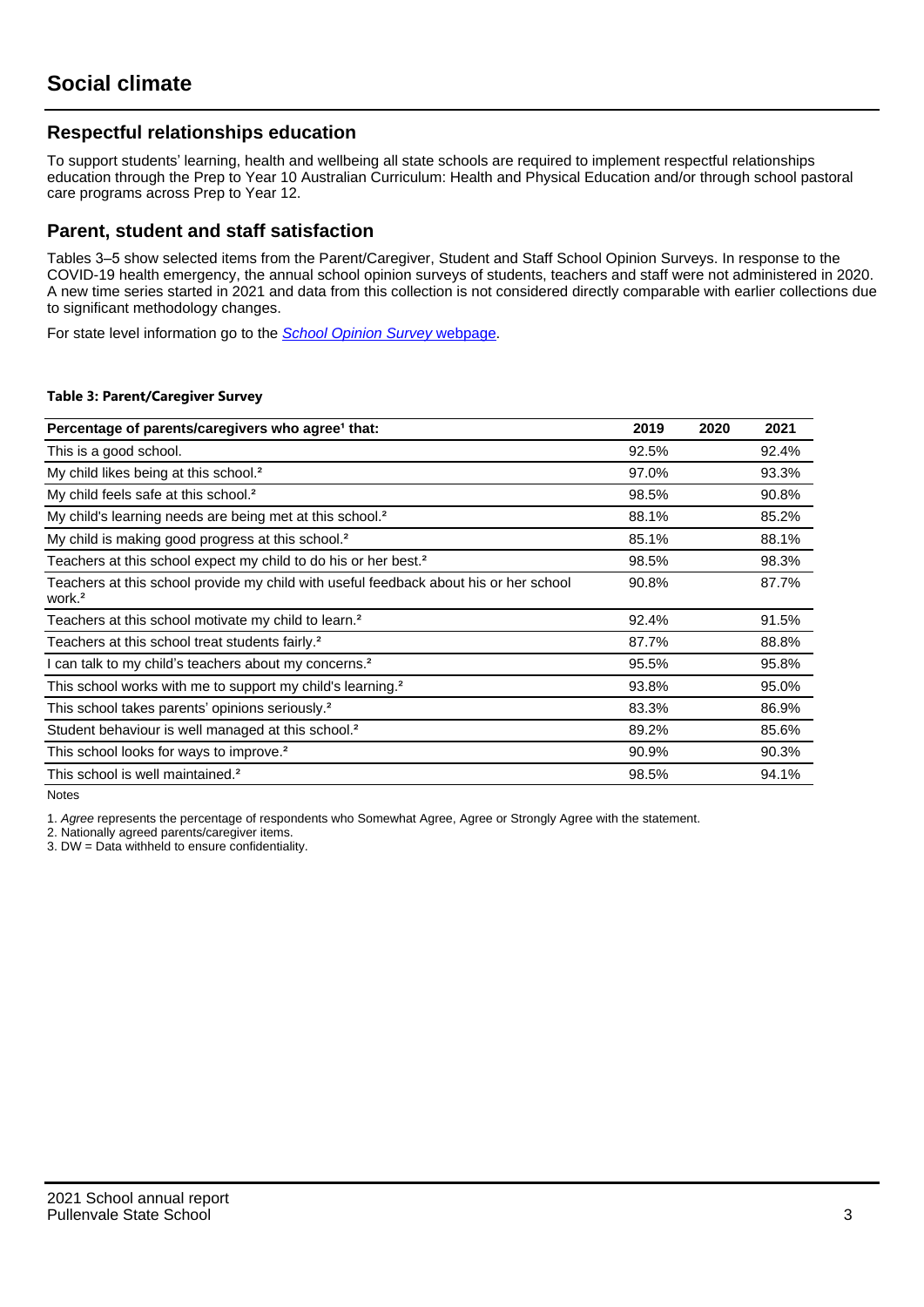## **Respectful relationships education**

To support students' learning, health and wellbeing all state schools are required to implement respectful relationships education through the Prep to Year 10 Australian Curriculum: Health and Physical Education and/or through school pastoral care programs across Prep to Year 12.

### **Parent, student and staff satisfaction**

Tables 3–5 show selected items from the Parent/Caregiver, Student and Staff School Opinion Surveys. In response to the COVID-19 health emergency, the annual school opinion surveys of students, teachers and staff were not administered in 2020. A new time series started in 2021 and data from this collection is not considered directly comparable with earlier collections due to significant methodology changes.

For state level information go to the **[School Opinion Survey](https://qed.qld.gov.au/publications/reports/statistics/schooling/schools/schoolopinionsurvey) webpage**.

#### **Table 3: Parent/Caregiver Survey**

| Percentage of parents/caregivers who agree <sup>1</sup> that:                                               | 2019  | 2020 | 2021  |
|-------------------------------------------------------------------------------------------------------------|-------|------|-------|
| This is a good school.                                                                                      | 92.5% |      | 92.4% |
| My child likes being at this school. <sup>2</sup>                                                           | 97.0% |      | 93.3% |
| My child feels safe at this school. <sup>2</sup>                                                            | 98.5% |      | 90.8% |
| My child's learning needs are being met at this school. <sup>2</sup>                                        | 88.1% |      | 85.2% |
| My child is making good progress at this school. <sup>2</sup>                                               | 85.1% |      | 88.1% |
| Teachers at this school expect my child to do his or her best. <sup>2</sup>                                 | 98.5% |      | 98.3% |
| Teachers at this school provide my child with useful feedback about his or her school<br>work. <sup>2</sup> | 90.8% |      | 87.7% |
| Teachers at this school motivate my child to learn. <sup>2</sup>                                            | 92.4% |      | 91.5% |
| Teachers at this school treat students fairly. <sup>2</sup>                                                 | 87.7% |      | 88.8% |
| I can talk to my child's teachers about my concerns. <sup>2</sup>                                           | 95.5% |      | 95.8% |
| This school works with me to support my child's learning. <sup>2</sup>                                      | 93.8% |      | 95.0% |
| This school takes parents' opinions seriously. <sup>2</sup>                                                 | 83.3% |      | 86.9% |
| Student behaviour is well managed at this school. <sup>2</sup>                                              | 89.2% |      | 85.6% |
| This school looks for ways to improve. <sup>2</sup>                                                         | 90.9% |      | 90.3% |
| This school is well maintained. <sup>2</sup>                                                                | 98.5% |      | 94.1% |

Notes

1. Agree represents the percentage of respondents who Somewhat Agree, Agree or Strongly Agree with the statement.

2. Nationally agreed parents/caregiver items.

3. DW = Data withheld to ensure confidentiality.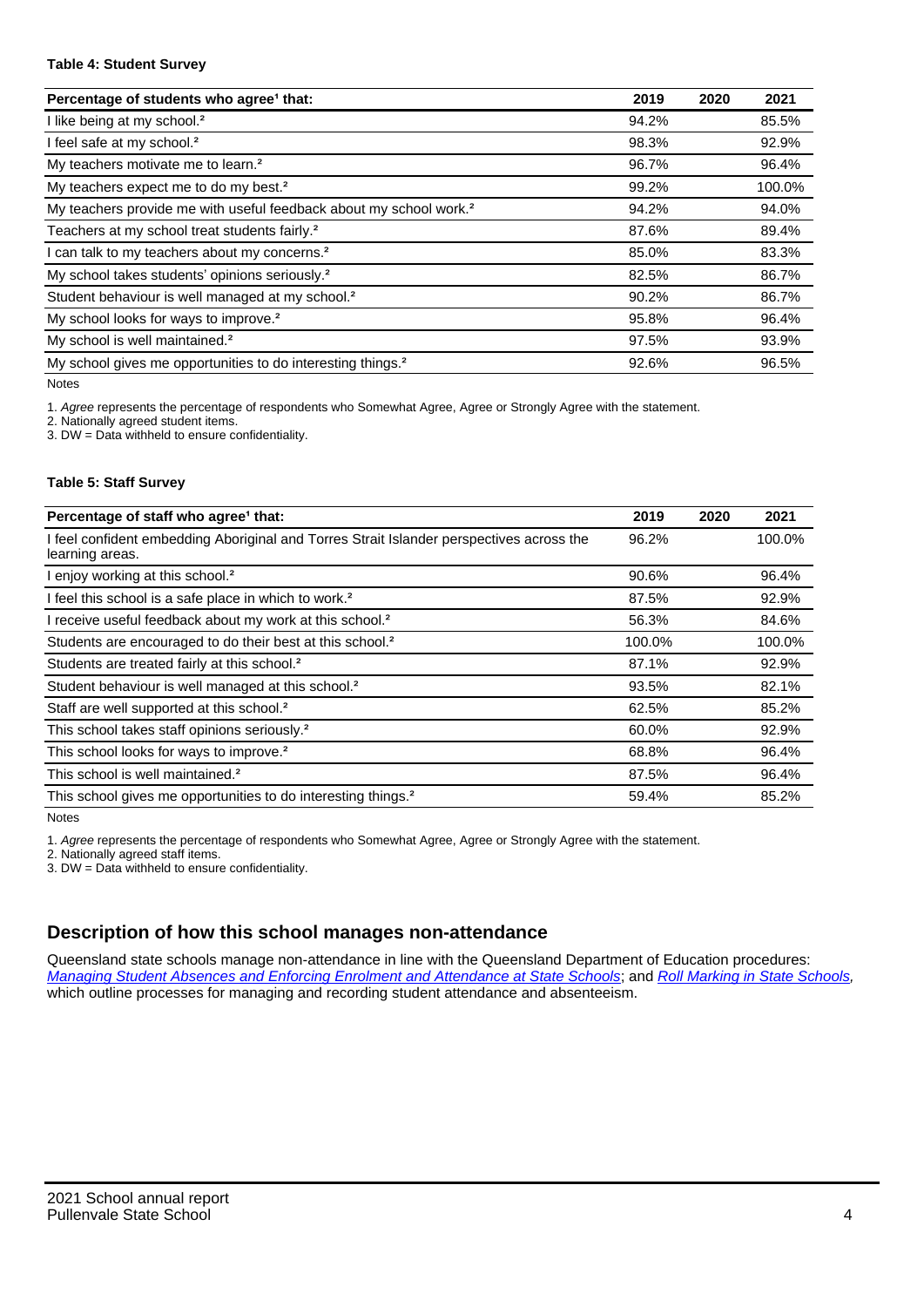#### **Table 4: Student Survey**

| Percentage of students who agree <sup>1</sup> that:                            | 2019  | 2020 | 2021   |
|--------------------------------------------------------------------------------|-------|------|--------|
| I like being at my school. <sup>2</sup>                                        | 94.2% |      | 85.5%  |
| I feel safe at my school. <sup>2</sup>                                         | 98.3% |      | 92.9%  |
| My teachers motivate me to learn. <sup>2</sup>                                 | 96.7% |      | 96.4%  |
| My teachers expect me to do my best. <sup>2</sup>                              | 99.2% |      | 100.0% |
| My teachers provide me with useful feedback about my school work. <sup>2</sup> | 94.2% |      | 94.0%  |
| Teachers at my school treat students fairly. <sup>2</sup>                      | 87.6% |      | 89.4%  |
| I can talk to my teachers about my concerns. <sup>2</sup>                      | 85.0% |      | 83.3%  |
| My school takes students' opinions seriously. <sup>2</sup>                     | 82.5% |      | 86.7%  |
| Student behaviour is well managed at my school. <sup>2</sup>                   | 90.2% |      | 86.7%  |
| My school looks for ways to improve. <sup>2</sup>                              | 95.8% |      | 96.4%  |
| My school is well maintained. <sup>2</sup>                                     | 97.5% |      | 93.9%  |
| My school gives me opportunities to do interesting things. <sup>2</sup>        | 92.6% |      | 96.5%  |

Notes

1. Agree represents the percentage of respondents who Somewhat Agree, Agree or Strongly Agree with the statement.

2. Nationally agreed student items.

3. DW = Data withheld to ensure confidentiality.

#### **Table 5: Staff Survey**

| Percentage of staff who agree <sup>1</sup> that:                                                            | 2019   | 2020 | 2021   |
|-------------------------------------------------------------------------------------------------------------|--------|------|--------|
| I feel confident embedding Aboriginal and Torres Strait Islander perspectives across the<br>learning areas. | 96.2%  |      | 100.0% |
| I enjoy working at this school. <sup>2</sup>                                                                | 90.6%  |      | 96.4%  |
| I feel this school is a safe place in which to work. <sup>2</sup>                                           | 87.5%  |      | 92.9%  |
| I receive useful feedback about my work at this school. <sup>2</sup>                                        | 56.3%  |      | 84.6%  |
| Students are encouraged to do their best at this school. <sup>2</sup>                                       | 100.0% |      | 100.0% |
| Students are treated fairly at this school. <sup>2</sup>                                                    | 87.1%  |      | 92.9%  |
| Student behaviour is well managed at this school. <sup>2</sup>                                              | 93.5%  |      | 82.1%  |
| Staff are well supported at this school. <sup>2</sup>                                                       | 62.5%  |      | 85.2%  |
| This school takes staff opinions seriously. <sup>2</sup>                                                    | 60.0%  |      | 92.9%  |
| This school looks for ways to improve. <sup>2</sup>                                                         | 68.8%  |      | 96.4%  |
| This school is well maintained. <sup>2</sup>                                                                | 87.5%  |      | 96.4%  |
| This school gives me opportunities to do interesting things. <sup>2</sup>                                   | 59.4%  |      | 85.2%  |

Notes

1. Agree represents the percentage of respondents who Somewhat Agree, Agree or Strongly Agree with the statement.

2. Nationally agreed staff items.

3. DW = Data withheld to ensure confidentiality.

## **Description of how this school manages non-attendance**

Queensland state schools manage non-attendance in line with the Queensland Department of Education procedures: [Managing Student Absences and Enforcing Enrolment and Attendance at State Schools](https://ppr.qed.qld.gov.au/pp/managing-student-absences-and-enforcing-enrolment-and-attendance-at-state-schools-procedure); and [Roll Marking in State Schools,](https://ppr.qed.qld.gov.au/pp/roll-marking-in-state-schools-procedure) which outline processes for managing and recording student attendance and absenteeism.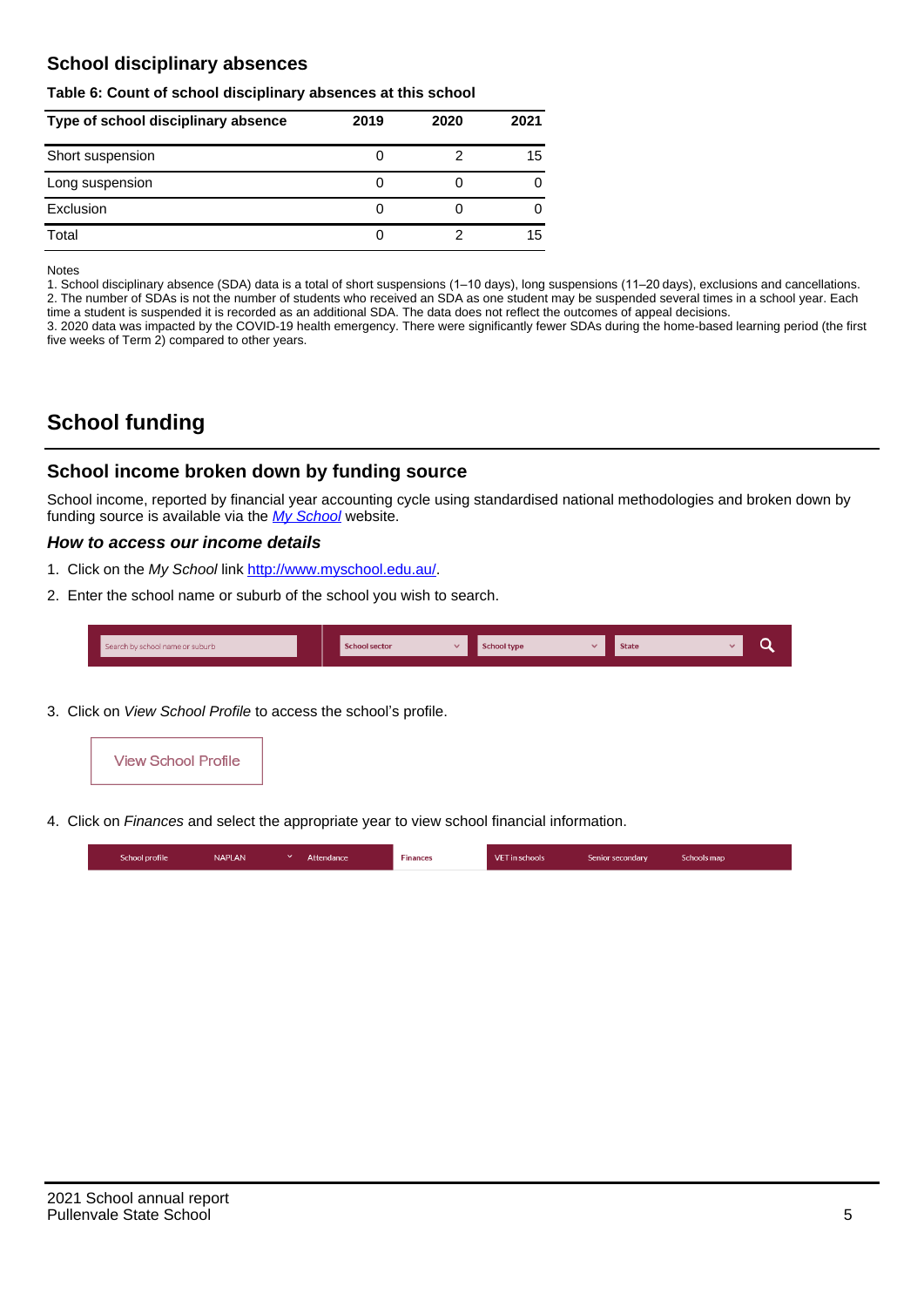## **School disciplinary absences**

#### **Table 6: Count of school disciplinary absences at this school**

| Type of school disciplinary absence | 2019 | 2020 | 2021 |
|-------------------------------------|------|------|------|
| Short suspension                    | U    |      | 15   |
| Long suspension                     | U    |      |      |
| Exclusion                           |      |      |      |
| Total                               | 0    |      | 15   |

Notes

1. School disciplinary absence (SDA) data is a total of short suspensions (1–10 days), long suspensions (11–20 days), exclusions and cancellations. 2. The number of SDAs is not the number of students who received an SDA as one student may be suspended several times in a school year. Each time a student is suspended it is recorded as an additional SDA. The data does not reflect the outcomes of appeal decisions.

3. 2020 data was impacted by the COVID-19 health emergency. There were significantly fewer SDAs during the home-based learning period (the first five weeks of Term 2) compared to other years.

# **School funding**

## **School income broken down by funding source**

School income, reported by financial year accounting cycle using standardised national methodologies and broken down by funding source is available via the  $My$  School website.

#### **How to access our income details**

- 1. Click on the My School link <http://www.myschool.edu.au/>.
- 2. Enter the school name or suburb of the school you wish to search.

|  | Search by school name or suburb |  | <b>School sector</b> |  | $\sim$ and $\sim$ represents the set of $\sim$ | <b>State</b> |  |  |  |
|--|---------------------------------|--|----------------------|--|------------------------------------------------|--------------|--|--|--|
|--|---------------------------------|--|----------------------|--|------------------------------------------------|--------------|--|--|--|

3. Click on View School Profile to access the school's profile.



4. Click on Finances and select the appropriate year to view school financial information.

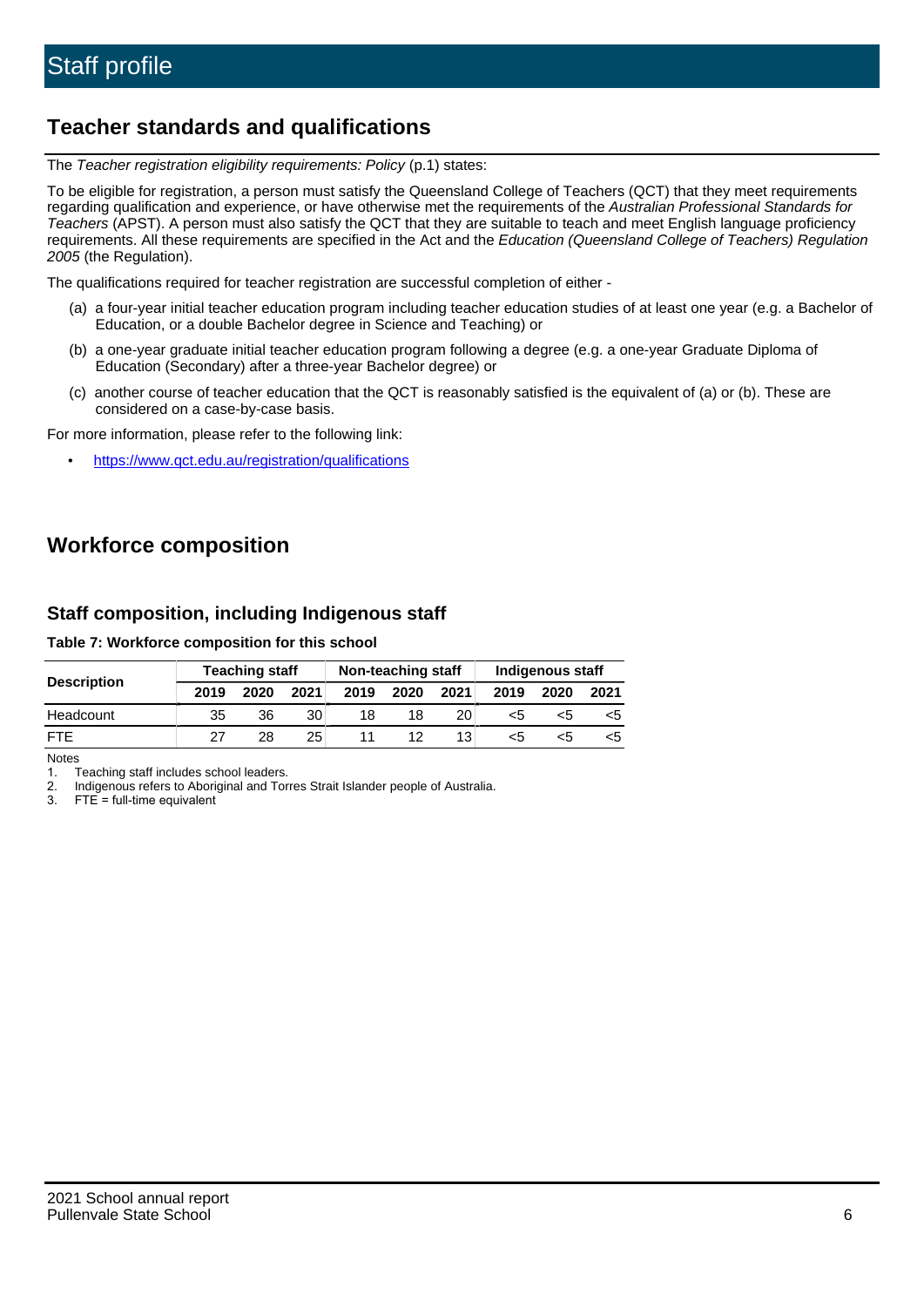# **Teacher standards and qualifications**

The Teacher registration eligibility requirements: Policy (p.1) states:

To be eligible for registration, a person must satisfy the Queensland College of Teachers (QCT) that they meet requirements regarding qualification and experience, or have otherwise met the requirements of the Australian Professional Standards for Teachers (APST). A person must also satisfy the QCT that they are suitable to teach and meet English language proficiency requirements. All these requirements are specified in the Act and the Education (Queensland College of Teachers) Regulation 2005 (the Regulation).

The qualifications required for teacher registration are successful completion of either -

- (a) a four-year initial teacher education program including teacher education studies of at least one year (e.g. a Bachelor of Education, or a double Bachelor degree in Science and Teaching) or
- (b) a one-year graduate initial teacher education program following a degree (e.g. a one-year Graduate Diploma of Education (Secondary) after a three-year Bachelor degree) or
- (c) another course of teacher education that the QCT is reasonably satisfied is the equivalent of (a) or (b). These are considered on a case-by-case basis.

For more information, please refer to the following link:

• <https://www.qct.edu.au/registration/qualifications>

# **Workforce composition**

## **Staff composition, including Indigenous staff**

**Table 7: Workforce composition for this school**

|                    |      | <b>Teaching staff</b> |      | Non-teaching staff |      |      | Indigenous staff |      |      |  |
|--------------------|------|-----------------------|------|--------------------|------|------|------------------|------|------|--|
| <b>Description</b> | 2019 | 2020                  | 2021 | 2019               | 2020 | 2021 | 2019             | 2020 | 2021 |  |
| Headcount          | 35   | 36                    | 30   | 18                 | 18   | 20   | <5               | ה>   |      |  |
| <b>FTF</b>         | 27   | 28                    | 25   |                    | 12   | 13   | <5               |      |      |  |

Notes

1. Teaching staff includes school leaders.

2. Indigenous refers to Aboriginal and Torres Strait Islander people of Australia.

3. FTE = full-time equivalent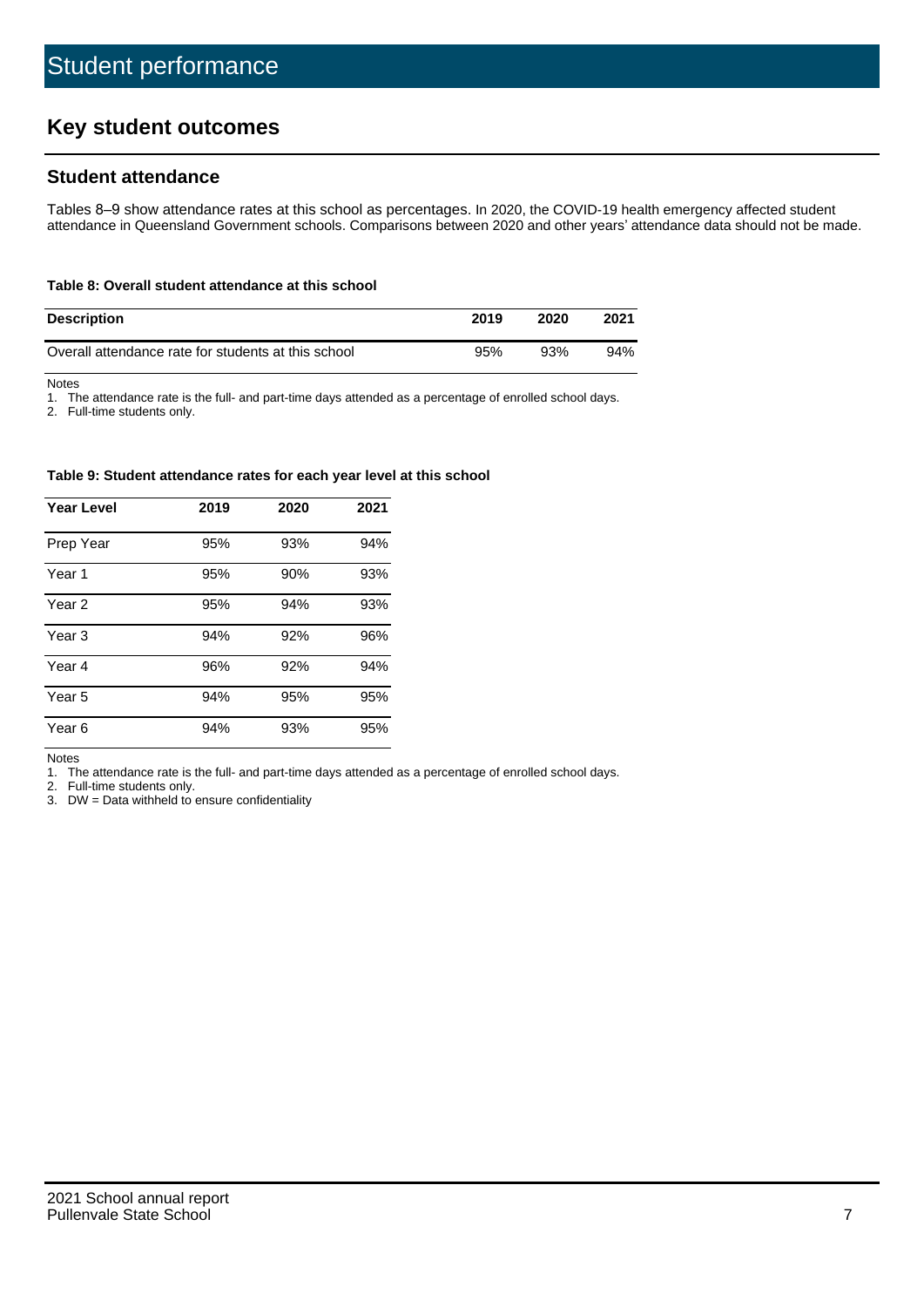# **Key student outcomes**

## **Student attendance**

Tables 8–9 show attendance rates at this school as percentages. In 2020, the COVID-19 health emergency affected student attendance in Queensland Government schools. Comparisons between 2020 and other years' attendance data should not be made.

#### **Table 8: Overall student attendance at this school**

| <b>Description</b>                                  | 2019 | 2020 | 2021 |
|-----------------------------------------------------|------|------|------|
| Overall attendance rate for students at this school | 95%  | 93%  | 94%  |

Notes

1. The attendance rate is the full- and part-time days attended as a percentage of enrolled school days.

2. Full-time students only.

#### **Table 9: Student attendance rates for each year level at this school**

| <b>Year Level</b> | 2019 | 2020 | 2021 |
|-------------------|------|------|------|
| Prep Year         | 95%  | 93%  | 94%  |
| Year <sub>1</sub> | 95%  | 90%  | 93%  |
| Year 2            | 95%  | 94%  | 93%  |
| Year <sub>3</sub> | 94%  | 92%  | 96%  |
| Year 4            | 96%  | 92%  | 94%  |
| Year 5            | 94%  | 95%  | 95%  |
| Year <sub>6</sub> | 94%  | 93%  | 95%  |

Notes

1. The attendance rate is the full- and part-time days attended as a percentage of enrolled school days.

2. Full-time students only.

3. DW = Data withheld to ensure confidentiality